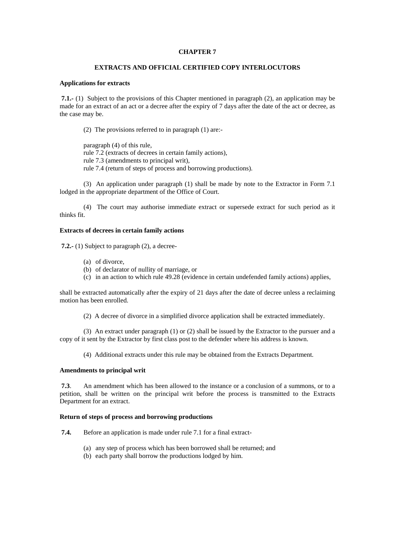# **CHAPTER 7**

# **EXTRACTS AND OFFICIAL CERTIFIED COPY INTERLOCUTORS**

# **Applications for extracts**

 **7.1.-** (1) Subject to the provisions of this Chapter mentioned in paragraph (2), an application may be made for an extract of an act or a decree after the expiry of 7 days after the date of the act or decree, as the case may be.

(2) The provisions referred to in paragraph (1) are:-

paragraph (4) of this rule, rule 7.2 (extracts of decrees in certain family actions), rule 7.3 (amendments to principal writ), rule 7.4 (return of steps of process and borrowing productions).

 (3) An application under paragraph (1) shall be made by note to the Extractor in Form 7.1 lodged in the appropriate department of the Office of Court.

 (4) The court may authorise immediate extract or supersede extract for such period as it thinks fit.

# **Extracts of decrees in certain family actions**

 **7.2.-** (1) Subject to paragraph (2), a decree-

- (a) of divorce,
- (b) of declarator of nullity of marriage, or
- (c) in an action to which rule 49.28 (evidence in certain undefended family actions) applies,

shall be extracted automatically after the expiry of 21 days after the date of decree unless a reclaiming motion has been enrolled.

(2) A decree of divorce in a simplified divorce application shall be extracted immediately.

 (3) An extract under paragraph (1) or (2) shall be issued by the Extractor to the pursuer and a copy of it sent by the Extractor by first class post to the defender where his address is known.

(4) Additional extracts under this rule may be obtained from the Extracts Department.

#### **Amendments to principal writ**

 **7.3**. An amendment which has been allowed to the instance or a conclusion of a summons, or to a petition, shall be written on the principal writ before the process is transmitted to the Extracts Department for an extract.

## **Return of steps of process and borrowing productions**

 **7.4.** Before an application is made under rule 7.1 for a final extract-

- (a) any step of process which has been borrowed shall be returned; and
- (b) each party shall borrow the productions lodged by him.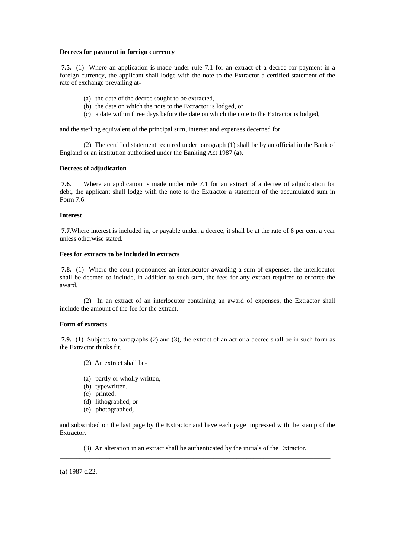#### **Decrees for payment in foreign currency**

**7.5.-** (1) Where an application is made under rule 7.1 for an extract of a decree for payment in a foreign currency, the applicant shall lodge with the note to the Extractor a certified statement of the rate of exchange prevailing at-

- (a) the date of the decree sought to be extracted,
- (b) the date on which the note to the Extractor is lodged, or
- (c) a date within three days before the date on which the note to the Extractor is lodged,

and the sterling equivalent of the principal sum, interest and expenses decerned for.

 (2) The certified statement required under paragraph (1) shall be by an official in the Bank of England or an institution authorised under the Banking Act 1987 (**a**).

# **Decrees of adjudication**

 **7.6**. Where an application is made under rule 7.1 for an extract of a decree of adjudication for debt, the applicant shall lodge with the note to the Extractor a statement of the accumulated sum in Form 7.6.

# **Interest**

 **7.7.**Where interest is included in, or payable under, a decree, it shall be at the rate of 8 per cent a year unless otherwise stated.

# **Fees for extracts to be included in extracts**

 **7.8.-** (1) Where the court pronounces an interlocutor awarding a sum of expenses, the interlocutor shall be deemed to include, in addition to such sum, the fees for any extract required to enforce the award.

 (2) In an extract of an interlocutor containing an award of expenses, the Extractor shall include the amount of the fee for the extract.

#### **Form of extracts**

 **7.9.-** (1) Subjects to paragraphs (2) and (3), the extract of an act or a decree shall be in such form as the Extractor thinks fit.

- (2) An extract shall be-
- (a) partly or wholly written,
- (b) typewritten,
- (c) printed,
- (d) lithographed, or
- (e) photographed,

and subscribed on the last page by the Extractor and have each page impressed with the stamp of the Extractor.

 (3) An alteration in an extract shall be authenticated by the initials of the Extractor. \_\_\_\_\_\_\_\_\_\_\_\_\_\_\_\_\_\_\_\_\_\_\_\_\_\_\_\_\_\_\_\_\_\_\_\_\_\_\_\_\_\_\_\_\_\_\_\_\_\_\_\_\_\_\_\_\_\_\_\_\_\_\_\_\_\_\_\_\_\_\_\_\_\_\_\_\_\_\_\_\_

(**a**) 1987 c.22.